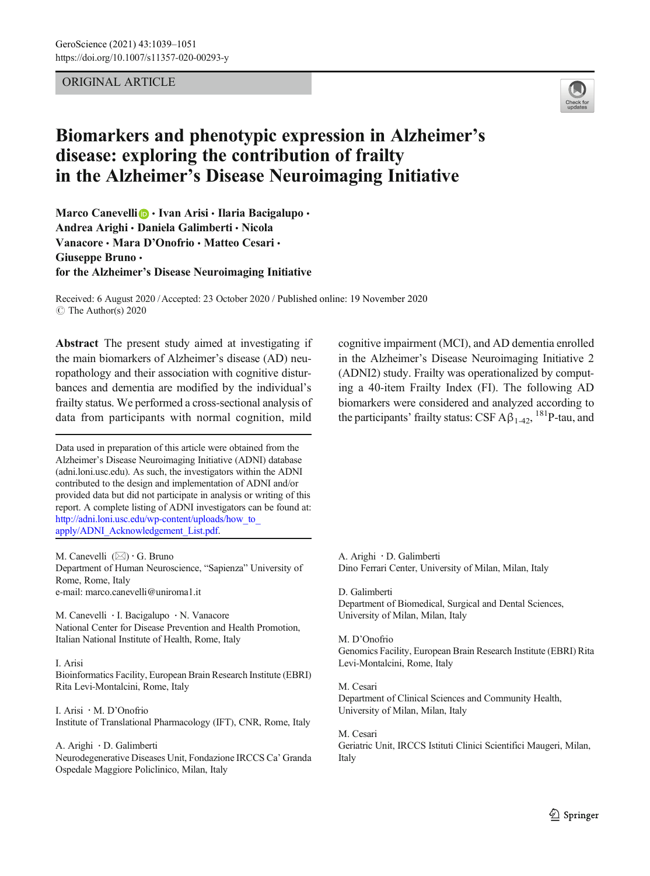# ORIGINAL ARTICLE



# Biomarkers and phenotypic expression in Alzheimer's disease: exploring the contribution of frailty in the Alzheimer's Disease Neuroimaging Initiative

Marco Canevelli **D** · Ivan Arisi · Ilaria Bacigalupo · Andrea Arighi · Daniela Galimberti · Nicola Vanacore · Mara D'Onofrio · Matteo Cesari · Giuseppe Bruno · for the Alzheimer's Disease Neuroimaging Initiative

Received: 6 August 2020 /Accepted: 23 October 2020 / Published online: 19 November 2020 © The Author(s) 2020

Abstract The present study aimed at investigating if the main biomarkers of Alzheimer's disease (AD) neuropathology and their association with cognitive disturbances and dementia are modified by the individual's frailty status. We performed a cross-sectional analysis of data from participants with normal cognition, mild

Data used in preparation of this article were obtained from the Alzheimer's Disease Neuroimaging Initiative (ADNI) database (adni.loni.usc.edu). As such, the investigators within the ADNI contributed to the design and implementation of ADNI and/or provided data but did not participate in analysis or writing of this report. A complete listing of ADNI investigators can be found at: [http://adni.loni.usc.edu/wp-content/uploads/how\\_to\\_](https://doi.org/) [apply/ADNI\\_Acknowledgement\\_List.pdf.](https://doi.org/)

M. Canevelli  $(\boxtimes) \cdot G$ . Bruno Department of Human Neuroscience, "Sapienza" University of Rome, Rome, Italy e-mail: marco.canevelli@uniroma1.it

M. Canevelli · I. Bacigalupo · N. Vanacore National Center for Disease Prevention and Health Promotion, Italian National Institute of Health, Rome, Italy

#### I. Arisi

Bioinformatics Facility, European Brain Research Institute (EBRI) Rita Levi-Montalcini, Rome, Italy

I. Arisi : M. D'Onofrio Institute of Translational Pharmacology (IFT), CNR, Rome, Italy

A. Arighi : D. Galimberti Neurodegenerative Diseases Unit, Fondazione IRCCS Ca' Granda Ospedale Maggiore Policlinico, Milan, Italy

cognitive impairment (MCI), and AD dementia enrolled in the Alzheimer's Disease Neuroimaging Initiative 2 (ADNI2) study. Frailty was operationalized by computing a 40-item Frailty Index (FI). The following AD biomarkers were considered and analyzed according to the participants' frailty status: CSF  $A\beta_{1-42}$ , <sup>181</sup>P-tau, and

A. Arighi : D. Galimberti Dino Ferrari Center, University of Milan, Milan, Italy

#### D. Galimberti

Department of Biomedical, Surgical and Dental Sciences, University of Milan, Milan, Italy

#### M. D'Onofrio

Genomics Facility, European Brain Research Institute (EBRI) Rita Levi-Montalcini, Rome, Italy

### M. Cesari Department of Clinical Sciences and Community Health, University of Milan, Milan, Italy

M. Cesari Geriatric Unit, IRCCS Istituti Clinici Scientifici Maugeri, Milan, Italy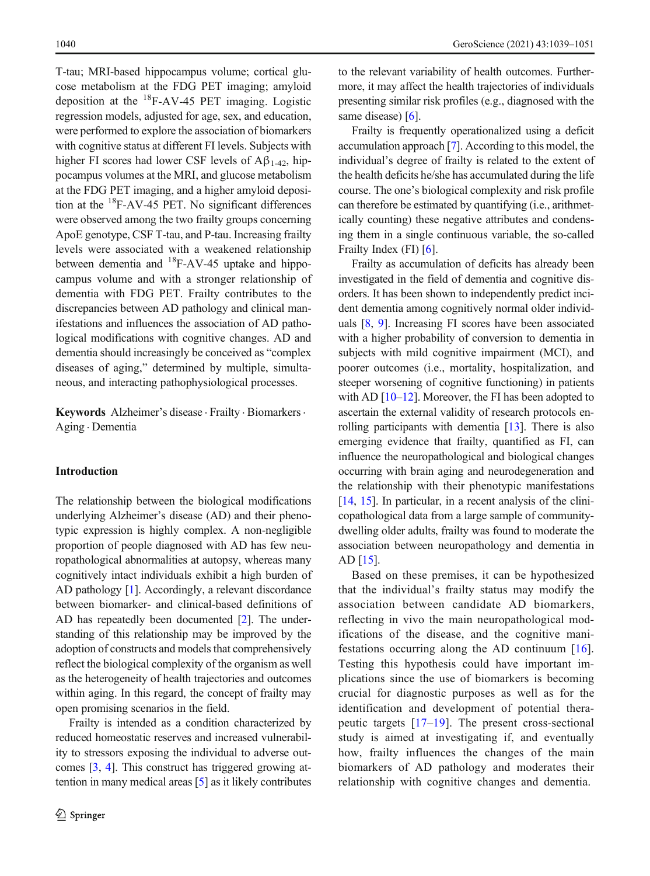T-tau; MRI-based hippocampus volume; cortical glucose metabolism at the FDG PET imaging; amyloid deposition at the  $^{18}$ F-AV-45 PET imaging. Logistic regression models, adjusted for age, sex, and education, were performed to explore the association of biomarkers with cognitive status at different FI levels. Subjects with higher FI scores had lower CSF levels of  $A\beta_{1-42}$ , hippocampus volumes at the MRI, and glucose metabolism at the FDG PET imaging, and a higher amyloid deposition at the <sup>18</sup>F-AV-45 PET. No significant differences were observed among the two frailty groups concerning ApoE genotype, CSF T-tau, and P-tau. Increasing frailty levels were associated with a weakened relationship between dementia and  $^{18}$ F-AV-45 uptake and hippocampus volume and with a stronger relationship of dementia with FDG PET. Frailty contributes to the discrepancies between AD pathology and clinical manifestations and influences the association of AD pathological modifications with cognitive changes. AD and dementia should increasingly be conceived as "complex diseases of aging," determined by multiple, simultaneous, and interacting pathophysiological processes.

Keywords Alzheimer's disease · Frailty · Biomarkers · Aging . Dementia

## Introduction

The relationship between the biological modifications underlying Alzheimer's disease (AD) and their phenotypic expression is highly complex. A non-negligible proportion of people diagnosed with AD has few neuropathological abnormalities at autopsy, whereas many cognitively intact individuals exhibit a high burden of AD pathology [\[1](#page-11-0)]. Accordingly, a relevant discordance between biomarker- and clinical-based definitions of AD has repeatedly been documented [\[2](#page-11-0)]. The understanding of this relationship may be improved by the adoption of constructs and models that comprehensively reflect the biological complexity of the organism as well as the heterogeneity of health trajectories and outcomes within aging. In this regard, the concept of frailty may open promising scenarios in the field.

Frailty is intended as a condition characterized by reduced homeostatic reserves and increased vulnerability to stressors exposing the individual to adverse outcomes [\[3,](#page-11-0) [4\]](#page-11-0). This construct has triggered growing attention in many medical areas [\[5](#page-11-0)] as it likely contributes to the relevant variability of health outcomes. Furthermore, it may affect the health trajectories of individuals presenting similar risk profiles (e.g., diagnosed with the same disease) [\[6](#page-11-0)].

Frailty is frequently operationalized using a deficit accumulation approach [\[7](#page-11-0)]. According to this model, the individual's degree of frailty is related to the extent of the health deficits he/she has accumulated during the life course. The one's biological complexity and risk profile can therefore be estimated by quantifying (i.e., arithmetically counting) these negative attributes and condensing them in a single continuous variable, the so-called Frailty Index (FI) [\[6](#page-11-0)].

Frailty as accumulation of deficits has already been investigated in the field of dementia and cognitive disorders. It has been shown to independently predict incident dementia among cognitively normal older individuals [\[8](#page-11-0), [9](#page-11-0)]. Increasing FI scores have been associated with a higher probability of conversion to dementia in subjects with mild cognitive impairment (MCI), and poorer outcomes (i.e., mortality, hospitalization, and steeper worsening of cognitive functioning) in patients with AD  $[10-12]$  $[10-12]$  $[10-12]$  $[10-12]$  $[10-12]$ . Moreover, the FI has been adopted to ascertain the external validity of research protocols enrolling participants with dementia [\[13\]](#page-11-0). There is also emerging evidence that frailty, quantified as FI, can influence the neuropathological and biological changes occurring with brain aging and neurodegeneration and the relationship with their phenotypic manifestations [\[14,](#page-11-0) [15](#page-11-0)]. In particular, in a recent analysis of the clinicopathological data from a large sample of communitydwelling older adults, frailty was found to moderate the association between neuropathology and dementia in AD [[15\]](#page-11-0).

Based on these premises, it can be hypothesized that the individual's frailty status may modify the association between candidate AD biomarkers, reflecting in vivo the main neuropathological modifications of the disease, and the cognitive manifestations occurring along the AD continuum [\[16](#page-11-0)]. Testing this hypothesis could have important implications since the use of biomarkers is becoming crucial for diagnostic purposes as well as for the identification and development of potential therapeutic targets [[17](#page-12-0)–[19](#page-12-0)]. The present cross-sectional study is aimed at investigating if, and eventually how, frailty influences the changes of the main biomarkers of AD pathology and moderates their relationship with cognitive changes and dementia.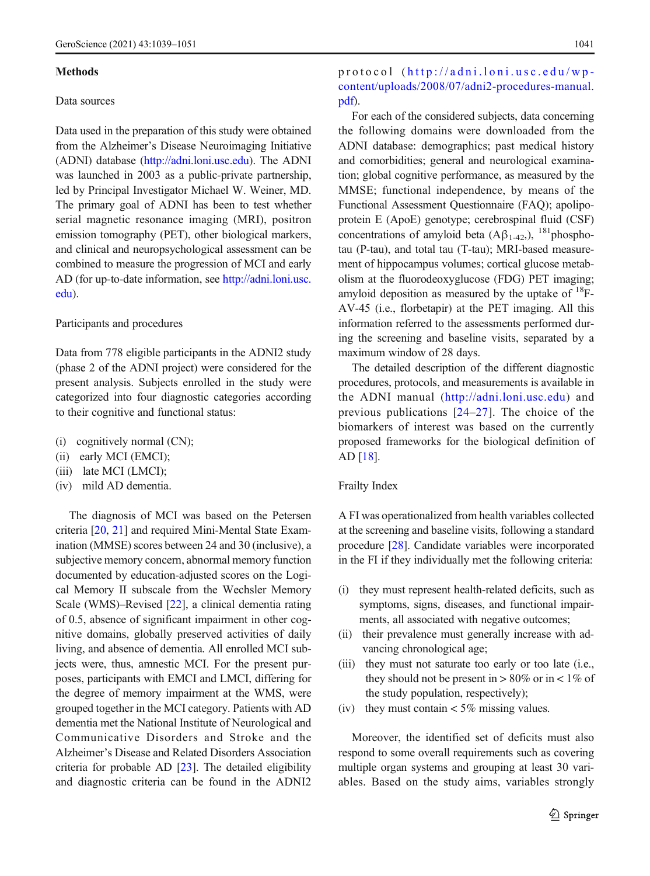### Methods

#### Data sources

Data used in the preparation of this study were obtained from the Alzheimer's Disease Neuroimaging Initiative (ADNI) database [\(http://adni.loni.usc.edu\)](http://adni.loni.usc.edu). The ADNI was launched in 2003 as a public-private partnership, led by Principal Investigator Michael W. Weiner, MD. The primary goal of ADNI has been to test whether serial magnetic resonance imaging (MRI), positron emission tomography (PET), other biological markers, and clinical and neuropsychological assessment can be combined to measure the progression of MCI and early AD (for up-to-date information, see [http://adni.loni.usc.](http://adni.loni.usc.edu) [edu\)](http://adni.loni.usc.edu).

#### Participants and procedures

Data from 778 eligible participants in the ADNI2 study (phase 2 of the ADNI project) were considered for the present analysis. Subjects enrolled in the study were categorized into four diagnostic categories according to their cognitive and functional status:

- (i) cognitively normal (CN);
- (ii) early MCI (EMCI);
- (iii) late MCI (LMCI);
- (iv) mild AD dementia.

The diagnosis of MCI was based on the Petersen criteria [[20](#page-12-0), [21](#page-12-0)] and required Mini-Mental State Examination (MMSE) scores between 24 and 30 (inclusive), a subjective memory concern, abnormal memory function documented by education-adjusted scores on the Logical Memory II subscale from the Wechsler Memory Scale (WMS)–Revised [\[22](#page-12-0)], a clinical dementia rating of 0.5, absence of significant impairment in other cognitive domains, globally preserved activities of daily living, and absence of dementia. All enrolled MCI subjects were, thus, amnestic MCI. For the present purposes, participants with EMCI and LMCI, differing for the degree of memory impairment at the WMS, were grouped together in the MCI category. Patients with AD dementia met the National Institute of Neurological and Communicative Disorders and Stroke and the Alzheimer's Disease and Related Disorders Association criteria for probable AD [\[23\]](#page-12-0). The detailed eligibility and diagnostic criteria can be found in the ADNI2

# protocol ( [http://adni.loni](http://adni.loni.usc.edu/wp-content/uploads/2008/07/adni2-procedures-manual.pdf) .usc.edu/wp[content/uploads/2008/07/adni2-procedures-manual.](http://adni.loni.usc.edu/wp-content/uploads/2008/07/adni2-procedures-manual.pdf) [pdf\)](http://adni.loni.usc.edu/wp-content/uploads/2008/07/adni2-procedures-manual.pdf).

For each of the considered subjects, data concerning the following domains were downloaded from the ADNI database: demographics; past medical history and comorbidities; general and neurological examination; global cognitive performance, as measured by the MMSE; functional independence, by means of the Functional Assessment Questionnaire (FAQ); apolipoprotein E (ApoE) genotype; cerebrospinal fluid (CSF) concentrations of amyloid beta  $(A\beta_{1-42})$ , <sup>181</sup>phosphotau (P-tau), and total tau (T-tau); MRI-based measurement of hippocampus volumes; cortical glucose metabolism at the fluorodeoxyglucose (FDG) PET imaging; amyloid deposition as measured by the uptake of  $^{18}$ F-AV-45 (i.e., florbetapir) at the PET imaging. All this information referred to the assessments performed during the screening and baseline visits, separated by a maximum window of 28 days.

The detailed description of the different diagnostic procedures, protocols, and measurements is available in the ADNI manual ([http://adni.loni.usc.edu\)](http://adni.loni.usc.edu/) and previous publications [[24](#page-12-0)–[27](#page-12-0)]. The choice of the biomarkers of interest was based on the currently proposed frameworks for the biological definition of AD [[18\]](#page-12-0).

#### Frailty Index

A FI was operationalized from health variables collected at the screening and baseline visits, following a standard procedure [\[28\]](#page-12-0). Candidate variables were incorporated in the FI if they individually met the following criteria:

- (i) they must represent health-related deficits, such as symptoms, signs, diseases, and functional impairments, all associated with negative outcomes;
- (ii) their prevalence must generally increase with advancing chronological age;
- (iii) they must not saturate too early or too late (i.e., they should not be present in  $> 80\%$  or in  $< 1\%$  of the study population, respectively);
- (iv) they must contain  $\lt 5\%$  missing values.

Moreover, the identified set of deficits must also respond to some overall requirements such as covering multiple organ systems and grouping at least 30 variables. Based on the study aims, variables strongly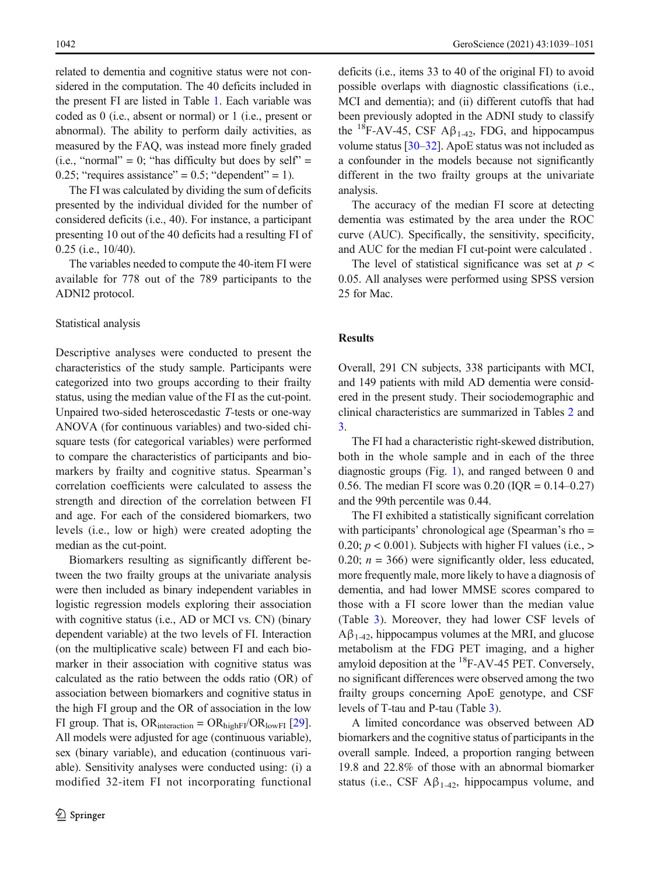related to dementia and cognitive status were not considered in the computation. The 40 deficits included in the present FI are listed in Table [1.](#page-4-0) Each variable was coded as 0 (i.e., absent or normal) or 1 (i.e., present or abnormal). The ability to perform daily activities, as measured by the FAQ, was instead more finely graded  $(i.e., "normal" = 0; "has difficulty but does by self" =$ 0.25; "requires assistance" =  $0.5$ ; "dependent" = 1).

The FI was calculated by dividing the sum of deficits presented by the individual divided for the number of considered deficits (i.e., 40). For instance, a participant presenting 10 out of the 40 deficits had a resulting FI of 0.25 (i.e., 10/40).

The variables needed to compute the 40-item FI were available for 778 out of the 789 participants to the ADNI2 protocol.

#### Statistical analysis

Descriptive analyses were conducted to present the characteristics of the study sample. Participants were categorized into two groups according to their frailty status, using the median value of the FI as the cut-point. Unpaired two-sided heteroscedastic T-tests or one-way ANOVA (for continuous variables) and two-sided chisquare tests (for categorical variables) were performed to compare the characteristics of participants and biomarkers by frailty and cognitive status. Spearman's correlation coefficients were calculated to assess the strength and direction of the correlation between FI and age. For each of the considered biomarkers, two levels (i.e., low or high) were created adopting the median as the cut-point.

Biomarkers resulting as significantly different between the two frailty groups at the univariate analysis were then included as binary independent variables in logistic regression models exploring their association with cognitive status (i.e., AD or MCI vs. CN) (binary dependent variable) at the two levels of FI. Interaction (on the multiplicative scale) between FI and each biomarker in their association with cognitive status was calculated as the ratio between the odds ratio (OR) of association between biomarkers and cognitive status in the high FI group and the OR of association in the low FI group. That is,  $OR_{interaction} = OR_{highFI}/OR_{lowFI}$  [[29\]](#page-12-0). All models were adjusted for age (continuous variable), sex (binary variable), and education (continuous variable). Sensitivity analyses were conducted using: (i) a modified 32-item FI not incorporating functional

deficits (i.e., items 33 to 40 of the original FI) to avoid possible overlaps with diagnostic classifications (i.e., MCI and dementia); and (ii) different cutoffs that had been previously adopted in the ADNI study to classify the <sup>18</sup>F-AV-45, CSF  $A\beta_{1-42}$ , FDG, and hippocampus volume status [\[30](#page-12-0)–[32\]](#page-12-0). ApoE status was not included as a confounder in the models because not significantly different in the two frailty groups at the univariate analysis.

The accuracy of the median FI score at detecting dementia was estimated by the area under the ROC curve (AUC). Specifically, the sensitivity, specificity, and AUC for the median FI cut-point were calculated .

The level of statistical significance was set at  $p <$ 0.05. All analyses were performed using SPSS version 25 for Mac.

### Results

Overall, 291 CN subjects, 338 participants with MCI, and 149 patients with mild AD dementia were considered in the present study. Their sociodemographic and clinical characteristics are summarized in Tables [2](#page-5-0) and [3.](#page-6-0)

The FI had a characteristic right-skewed distribution, both in the whole sample and in each of the three diagnostic groups (Fig. [1](#page-7-0)), and ranged between 0 and 0.56. The median FI score was  $0.20$  (IQR =  $0.14 - 0.27$ ) and the 99th percentile was 0.44.

The FI exhibited a statistically significant correlation with participants' chronological age (Spearman's rho = 0.20;  $p < 0.001$ ). Subjects with higher FI values (i.e., > 0.20;  $n = 366$ ) were significantly older, less educated, more frequently male, more likely to have a diagnosis of dementia, and had lower MMSE scores compared to those with a FI score lower than the median value (Table [3\)](#page-6-0). Moreover, they had lower CSF levels of  $A\beta_{1-42}$ , hippocampus volumes at the MRI, and glucose metabolism at the FDG PET imaging, and a higher amyloid deposition at the  ${}^{18}$ F-AV-45 PET. Conversely, no significant differences were observed among the two frailty groups concerning ApoE genotype, and CSF levels of T-tau and P-tau (Table [3\)](#page-6-0).

A limited concordance was observed between AD biomarkers and the cognitive status of participants in the overall sample. Indeed, a proportion ranging between 19.8 and 22.8% of those with an abnormal biomarker status (i.e., CSF  $A\beta_{1-42}$ , hippocampus volume, and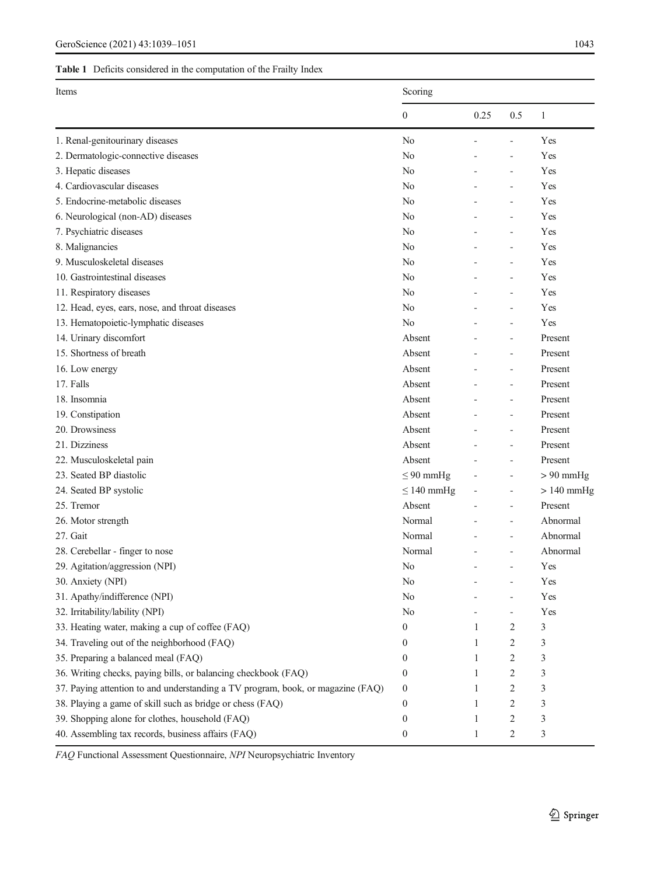## <span id="page-4-0"></span>Table 1 Deficits considered in the computation of the Frailty Index

| Items                                                                           | Scoring          |              |                  |              |  |
|---------------------------------------------------------------------------------|------------------|--------------|------------------|--------------|--|
|                                                                                 | $\boldsymbol{0}$ | 0.25         | 0.5              | $\mathbf{1}$ |  |
| 1. Renal-genitourinary diseases                                                 | No               |              | ä,               | Yes          |  |
| 2. Dermatologic-connective diseases                                             | No               |              |                  | Yes          |  |
| 3. Hepatic diseases                                                             | No               |              |                  | Yes          |  |
| 4. Cardiovascular diseases                                                      | No               |              |                  | Yes          |  |
| 5. Endocrine-metabolic diseases                                                 | No               |              |                  | Yes          |  |
| 6. Neurological (non-AD) diseases                                               | N <sub>0</sub>   |              |                  | Yes          |  |
| 7. Psychiatric diseases                                                         | No               |              |                  | Yes          |  |
| 8. Malignancies                                                                 | No               |              |                  | Yes          |  |
| 9. Musculoskeletal diseases                                                     | No               |              |                  | Yes          |  |
| 10. Gastrointestinal diseases                                                   | No               |              |                  | Yes          |  |
| 11. Respiratory diseases                                                        | No               |              |                  | Yes          |  |
| 12. Head, eyes, ears, nose, and throat diseases                                 | No               |              |                  | Yes          |  |
| 13. Hematopoietic-lymphatic diseases                                            | N <sub>0</sub>   |              |                  | Yes          |  |
| 14. Urinary discomfort                                                          | Absent           |              |                  | Present      |  |
| 15. Shortness of breath                                                         | Absent           |              |                  | Present      |  |
| 16. Low energy                                                                  | Absent           |              |                  | Present      |  |
| 17. Falls                                                                       | Absent           |              |                  | Present      |  |
| 18. Insomnia                                                                    | Absent           |              |                  | Present      |  |
| 19. Constipation                                                                | Absent           |              |                  | Present      |  |
| 20. Drowsiness                                                                  | Absent           |              |                  | Present      |  |
| 21. Dizziness                                                                   | Absent           |              |                  | Present      |  |
| 22. Musculoskeletal pain                                                        | Absent           |              |                  | Present      |  |
| 23. Seated BP diastolic                                                         | $\leq 90$ mmHg   |              |                  | $> 90$ mmHg  |  |
| 24. Seated BP systolic                                                          | $\leq 140$ mmHg  |              | ÷,               | $> 140$ mmHg |  |
| 25. Tremor                                                                      | Absent           |              |                  | Present      |  |
| 26. Motor strength                                                              | Normal           |              |                  | Abnormal     |  |
| 27. Gait                                                                        | Normal           |              | $\overline{a}$   | Abnormal     |  |
| 28. Cerebellar - finger to nose                                                 | Normal           |              |                  | Abnormal     |  |
| 29. Agitation/aggression (NPI)                                                  | No               |              | ÷,               | Yes          |  |
| 30. Anxiety (NPI)                                                               | No               |              |                  | Yes          |  |
| 31. Apathy/indifference (NPI)                                                   | No               |              |                  | Yes          |  |
| 32. Irritability/lability (NPI)                                                 | No               |              |                  | Yes          |  |
| 33. Heating water, making a cup of coffee (FAQ)                                 | $\boldsymbol{0}$ | 1            | 2                | 3            |  |
| 34. Traveling out of the neighborhood (FAQ)                                     | $\mathbf{0}$     | 1            | $\overline{2}$   | 3            |  |
| 35. Preparing a balanced meal (FAQ)                                             | $\boldsymbol{0}$ | 1            | $\overline{c}$   | 3            |  |
| 36. Writing checks, paying bills, or balancing checkbook (FAQ)                  | $\boldsymbol{0}$ | 1            | $\overline{c}$   | 3            |  |
| 37. Paying attention to and understanding a TV program, book, or magazine (FAQ) | $\boldsymbol{0}$ | 1            | $\sqrt{2}$       | 3            |  |
| 38. Playing a game of skill such as bridge or chess (FAQ)                       | $\boldsymbol{0}$ | 1            | $\overline{c}$   | 3            |  |
| 39. Shopping alone for clothes, household (FAQ)                                 | $\boldsymbol{0}$ | 1            | $\sqrt{2}$       | 3            |  |
| 40. Assembling tax records, business affairs (FAQ)                              | $\boldsymbol{0}$ | $\mathbf{1}$ | $\boldsymbol{2}$ | 3            |  |

FAQ Functional Assessment Questionnaire, NPI Neuropsychiatric Inventory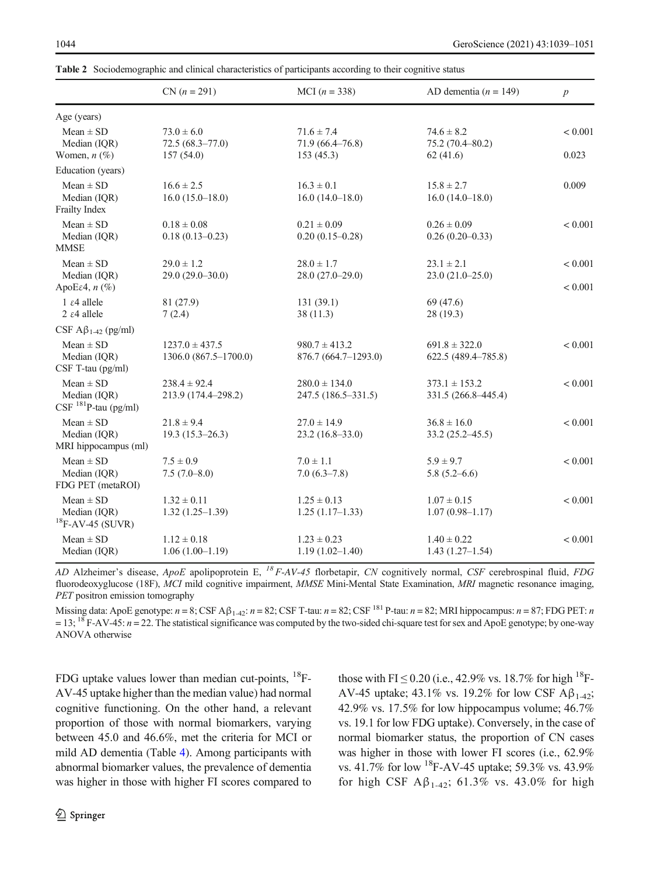|                                                                     | $CN (n = 291)$                                     | MCI $(n = 338)$                                    | AD dementia $(n = 149)$                           | $\boldsymbol{p}$   |
|---------------------------------------------------------------------|----------------------------------------------------|----------------------------------------------------|---------------------------------------------------|--------------------|
| Age (years)                                                         |                                                    |                                                    |                                                   |                    |
| $Mean \pm SD$<br>Median (IQR)<br>Women, $n$ $(\%)$                  | $73.0 \pm 6.0$<br>$72.5(68.3 - 77.0)$<br>157(54.0) | $71.6 \pm 7.4$<br>$71.9(66.4 - 76.8)$<br>153(45.3) | $74.6 \pm 8.2$<br>$75.2(70.4 - 80.2)$<br>62(41.6) | < 0.001<br>0.023   |
| Education (years)                                                   |                                                    |                                                    |                                                   |                    |
| $Mean \pm SD$<br>Median (IQR)<br>Frailty Index                      | $16.6 \pm 2.5$<br>$16.0(15.0-18.0)$                | $16.3 \pm 0.1$<br>$16.0(14.0-18.0)$                | $15.8 \pm 2.7$<br>$16.0(14.0-18.0)$               | 0.009              |
| $Mean \pm SD$<br>Median (IQR)<br><b>MMSE</b>                        | $0.18 \pm 0.08$<br>$0.18(0.13 - 0.23)$             | $0.21 \pm 0.09$<br>$0.20(0.15 - 0.28)$             | $0.26 \pm 0.09$<br>$0.26(0.20-0.33)$              | < 0.001            |
| Mean $\pm$ SD<br>Median (IOR)<br>ApoEε4, $n$ (%)                    | $29.0 \pm 1.2$<br>$29.0(29.0-30.0)$                | $28.0 \pm 1.7$<br>$28.0(27.0-29.0)$                | $23.1 \pm 2.1$<br>$23.0(21.0-25.0)$               | < 0.001<br>< 0.001 |
| $1 \epsilon 4$ allele<br>$2 \epsilon 4$ allele                      | 81 (27.9)<br>7(2.4)                                | 131(39.1)<br>38(11.3)                              | 69 (47.6)<br>28(19.3)                             |                    |
| CSF $A\beta_{1-42}$ (pg/ml)                                         |                                                    |                                                    |                                                   |                    |
| $Mean \pm SD$<br>Median (IOR)<br>$CSF$ T-tau (pg/ml)                | $1237.0 \pm 437.5$<br>1306.0 (867.5-1700.0)        | $980.7 \pm 413.2$<br>876.7 (664.7-1293.0)          | $691.8 \pm 322.0$<br>622.5 (489.4-785.8)          | < 0.001            |
| $Mean \pm SD$<br>Median (IOR)<br>$CSF$ <sup>181</sup> P-tau (pg/ml) | $238.4 \pm 92.4$<br>213.9 (174.4-298.2)            | $280.0 \pm 134.0$<br>247.5 (186.5–331.5)           | $373.1 \pm 153.2$<br>331.5 (266.8-445.4)          | < 0.001            |
| $Mean \pm SD$<br>Median (IQR)<br>MRI hippocampus (ml)               | $21.8 \pm 9.4$<br>$19.3(15.3-26.3)$                | $27.0 \pm 14.9$<br>$23.2(16.8-33.0)$               | $36.8 \pm 16.0$<br>$33.2(25.2 - 45.5)$            | < 0.001            |
| $Mean \pm SD$<br>Median (IOR)<br>FDG PET (metaROI)                  | $7.5 \pm 0.9$<br>$7.5(7.0-8.0)$                    | $7.0 \pm 1.1$<br>$7.0(6.3-7.8)$                    | $5.9 \pm 9.7$<br>$5.8(5.2 - 6.6)$                 | < 0.001            |
| $Mean \pm SD$<br>Median (IOR)<br>${}^{18}$ F-AV-45 (SUVR)           | $1.32 \pm 0.11$<br>$1.32(1.25-1.39)$               | $1.25 \pm 0.13$<br>$1.25(1.17-1.33)$               | $1.07 \pm 0.15$<br>$1.07(0.98 - 1.17)$            | < 0.001            |
| $Mean \pm SD$<br>Median (IQR)                                       | $1.12 \pm 0.18$<br>$1.06(1.00-1.19)$               | $1.23 \pm 0.23$<br>$1.19(1.02 - 1.40)$             | $1.40 \pm 0.22$<br>$1.43(1.27-1.54)$              | < 0.001            |

<span id="page-5-0"></span>

| Table 2 Sociodemographic and clinical characteristics of participants according to their cognitive status |  |
|-----------------------------------------------------------------------------------------------------------|--|
|-----------------------------------------------------------------------------------------------------------|--|

AD Alzheimer's disease,  $ApoE$  apolipoprotein E, <sup>18</sup> F-AV-45 florbetapir, CN cognitively normal, CSF cerebrospinal fluid, FDG fluorodeoxyglucose (18F), MCI mild cognitive impairment, MMSE Mini-Mental State Examination, MRI magnetic resonance imaging, PET positron emission tomography

Missing data: ApoE genotype:  $n = 8$ ; CSF A $\beta_{1-42}$ :  $n = 82$ ; CSF T-tau:  $n = 82$ ; CSF <sup>181</sup> P-tau:  $n = 82$ ; MRI hippocampus:  $n = 87$ ; FDG PET: n  $= 13$ ; <sup>18</sup> F-AV-45:  $n = 22$ . The statistical significance was computed by the two-sided chi-square test for sex and ApoE genotype; by one-way ANOVA otherwise

FDG uptake values lower than median cut-points,  $^{18}$ F-AV-45 uptake higher than the median value) had normal cognitive functioning. On the other hand, a relevant proportion of those with normal biomarkers, varying between 45.0 and 46.6%, met the criteria for MCI or mild AD dementia (Table [4](#page-7-0)). Among participants with abnormal biomarker values, the prevalence of dementia was higher in those with higher FI scores compared to those with FI  $\leq$  0.20 (i.e., 42.9% vs. 18.7% for high <sup>18</sup>F-AV-45 uptake; 43.1% vs. 19.2% for low CSF  $\mathbf{A}\mathbf{B}_{1.42}$ ; 42.9% vs. 17.5% for low hippocampus volume; 46.7% vs. 19.1 for low FDG uptake). Conversely, in the case of normal biomarker status, the proportion of CN cases was higher in those with lower FI scores (i.e., 62.9% vs. 41.7% for low 18F-AV-45 uptake; 59.3% vs. 43.9% for high CSF A $\beta_{1-42}$ ; 61.3% vs. 43.0% for high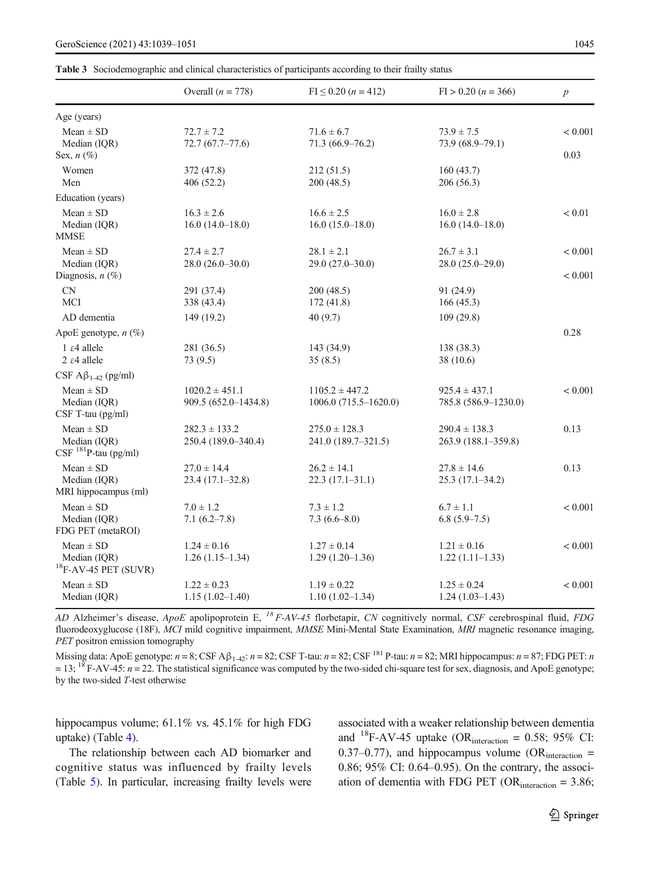<span id="page-6-0"></span>

|  | Table 3 Sociodemographic and clinical characteristics of participants according to their frailty status |  |  |  |  |
|--|---------------------------------------------------------------------------------------------------------|--|--|--|--|
|--|---------------------------------------------------------------------------------------------------------|--|--|--|--|

|                                                                     | Overall $(n = 778)$                        | $FI \leq 0.20$ ( <i>n</i> = 412)             | $FI > 0.20 (n = 366)$                     | $\boldsymbol{p}$ |
|---------------------------------------------------------------------|--------------------------------------------|----------------------------------------------|-------------------------------------------|------------------|
| Age (years)                                                         |                                            |                                              |                                           |                  |
| $Mean \pm SD$<br>Median (IQR)                                       | $72.7 \pm 7.2$<br>$72.7(67.7-77.6)$        | $71.6 \pm 6.7$<br>$71.3(66.9 - 76.2)$        | $73.9 \pm 7.5$<br>73.9 (68.9-79.1)        | < 0.001          |
| Sex, $n(\%)$                                                        |                                            |                                              |                                           | 0.03             |
| Women<br>Men                                                        | 372 (47.8)<br>406 (52.2)                   | 212(51.5)<br>200 (48.5)                      | 160(43.7)<br>206 (56.3)                   |                  |
| Education (years)                                                   |                                            |                                              |                                           |                  |
| $Mean \pm SD$<br>Median (IQR)<br><b>MMSE</b>                        | $16.3 \pm 2.6$<br>$16.0(14.0-18.0)$        | $16.6 \pm 2.5$<br>$16.0(15.0-18.0)$          | $16.0 \pm 2.8$<br>$16.0(14.0-18.0)$       | < 0.01           |
| $Mean \pm SD$<br>Median (IQR)                                       | $27.4 \pm 2.7$<br>$28.0(26.0-30.0)$        | $28.1 \pm 2.1$<br>29.0 (27.0-30.0)           | $26.7 \pm 3.1$<br>$28.0(25.0-29.0)$       | < 0.001          |
| Diagnosis, $n$ (%)                                                  |                                            |                                              |                                           | < 0.001          |
| <b>CN</b><br>MCI                                                    | 291 (37.4)<br>338 (43.4)                   | 200(48.5)<br>172(41.8)                       | 91 (24.9)<br>166(45.3)                    |                  |
| AD dementia                                                         | 149 (19.2)                                 | 40(9.7)                                      | 109(29.8)                                 |                  |
| ApoE genotype, n (%)                                                |                                            |                                              |                                           | 0.28             |
| $1 \epsilon 4$ allele<br>$2 \epsilon 4$ allele                      | 281 (36.5)<br>73 (9.5)                     | 143 (34.9)<br>35(8.5)                        | 138 (38.3)<br>38(10.6)                    |                  |
| CSF $A\beta_{1-42}$ (pg/ml)                                         |                                            |                                              |                                           |                  |
| $Mean \pm SD$<br>Median (IOR)<br>$CSF$ T-tau (pg/ml)                | $1020.2 \pm 451.1$<br>909.5 (652.0-1434.8) | $1105.2 \pm 447.2$<br>$1006.0(715.5-1620.0)$ | $925.4 \pm 437.1$<br>785.8 (586.9-1230.0) | < 0.001          |
| $Mean \pm SD$<br>Median (IQR)<br>$CSF$ <sup>181</sup> P-tau (pg/ml) | $282.3 \pm 133.2$<br>250.4 (189.0-340.4)   | $275.0 \pm 128.3$<br>241.0 (189.7-321.5)     | $290.4 \pm 138.3$<br>263.9 (188.1-359.8)  | 0.13             |
| $Mean \pm SD$<br>Median (IQR)<br>MRI hippocampus (ml)               | $27.0 \pm 14.4$<br>$23.4(17.1-32.8)$       | $26.2 \pm 14.1$<br>$22.3(17.1-31.1)$         | $27.8 \pm 14.6$<br>$25.3(17.1-34.2)$      | 0.13             |
| $Mean \pm SD$<br>Median (IQR)<br>FDG PET (metaROI)                  | $7.0 \pm 1.2$<br>$7.1(6.2-7.8)$            | $7.3 \pm 1.2$<br>$7.3(6.6-8.0)$              | $6.7 \pm 1.1$<br>$6.8(5.9-7.5)$           | < 0.001          |
| $Mean \pm SD$<br>Median (IQR)<br>$^{18}$ F-AV-45 PET (SUVR)         | $1.24 \pm 0.16$<br>$1.26(1.15-1.34)$       | $1.27 \pm 0.14$<br>$1.29(1.20-1.36)$         | $1.21 \pm 0.16$<br>$1.22(1.11-1.33)$      | < 0.001          |
| $Mean \pm SD$<br>Median (IQR)                                       | $1.22 \pm 0.23$<br>$1.15(1.02 - 1.40)$     | $1.19 \pm 0.22$<br>$1.10(1.02 - 1.34)$       | $1.25 \pm 0.24$<br>$1.24(1.03-1.43)$      | < 0.001          |

AD Alzheimer's disease, ApoE apolipoprotein E, <sup>18</sup> F-AV-45 florbetapir, CN cognitively normal, CSF cerebrospinal fluid, FDG fluorodeoxyglucose (18F), MCI mild cognitive impairment, MMSE Mini-Mental State Examination, MRI magnetic resonance imaging, PET positron emission tomography

Missing data: ApoE genotype:  $n = 8$ ; CSF A $\beta_{1\rightarrow 2}$ ;  $n = 82$ ; CSF T-tau:  $n = 82$ ; CSF <sup>181</sup> P-tau:  $n = 82$ ; MRI hippocampus:  $n = 87$ ; FDG PET: n  $= 13$ ; <sup>18</sup> F-AV-45:  $n = 22$ . The statistical significance was computed by the two-sided chi-square test for sex, diagnosis, and ApoE genotype; by the two-sided T-test otherwise

hippocampus volume; 61.1% vs. 45.1% for high FDG uptake) (Table [4](#page-7-0)).

The relationship between each AD biomarker and cognitive status was influenced by frailty levels (Table [5\)](#page-8-0). In particular, increasing frailty levels were associated with a weaker relationship between dementia and <sup>18</sup>F-AV-45 uptake (OR<sub>interaction</sub> = 0.58; 95% CI: 0.37–0.77), and hippocampus volume (OR<sub>interaction</sub> = 0.86; 95% CI: 0.64–0.95). On the contrary, the association of dementia with FDG PET ( $OR$ <sub>interaction</sub> = 3.86;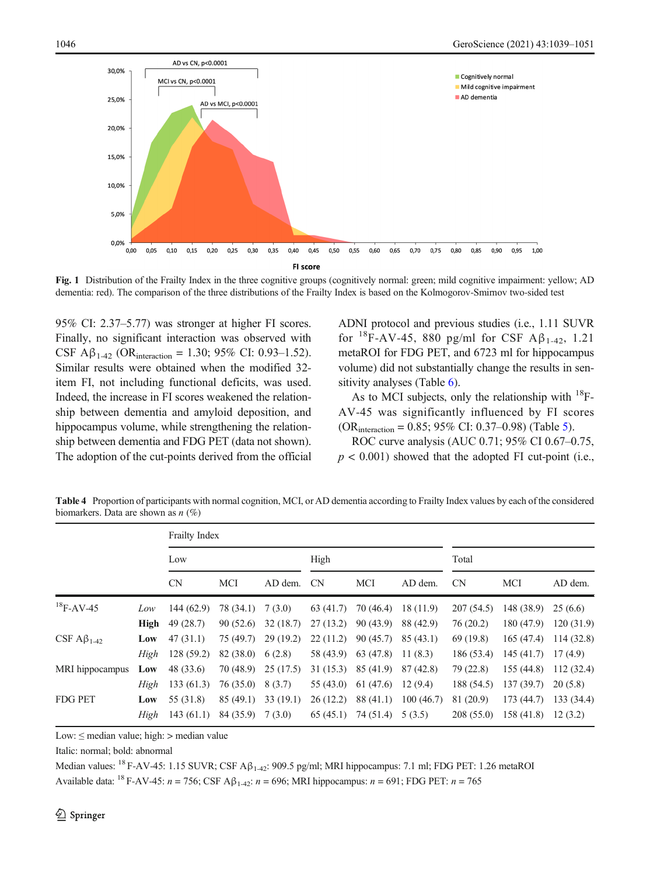<span id="page-7-0"></span>

Fig. 1 Distribution of the Frailty Index in the three cognitive groups (cognitively normal: green; mild cognitive impairment: yellow; AD dementia: red). The comparison of the three distributions of the Frailty Index is based on the Kolmogorov-Smirnov two-sided test

95% CI: 2.37–5.77) was stronger at higher FI scores. Finally, no significant interaction was observed with CSF  $A\beta_{1-42}$  (OR<sub>interaction</sub> = 1.30; 95% CI: 0.93–1.52). Similar results were obtained when the modified 32 item FI, not including functional deficits, was used. Indeed, the increase in FI scores weakened the relationship between dementia and amyloid deposition, and hippocampus volume, while strengthening the relationship between dementia and FDG PET (data not shown). The adoption of the cut-points derived from the official ADNI protocol and previous studies (i.e., 1.11 SUVR for  $^{18}$ F-AV-45, 880 pg/ml for CSF A $\beta_{1-42}$ , 1.21 metaROI for FDG PET, and 6723 ml for hippocampus volume) did not substantially change the results in sen-sitivity analyses (Table [6](#page-8-0)).

As to MCI subjects, only the relationship with  $^{18}$ F-AV-45 was significantly influenced by FI scores (ORinteraction = 0.85; 95% CI: 0.37–0.98) (Table [5](#page-8-0)).

ROC curve analysis (AUC 0.71; 95% CI 0.67–0.75,  $p < 0.001$ ) showed that the adopted FI cut-point (i.e.,

|                     |      | Frailty Index |           |          |           |                     |           |            |            |            |
|---------------------|------|---------------|-----------|----------|-----------|---------------------|-----------|------------|------------|------------|
|                     |      | Low           |           |          | High      |                     |           | Total      |            |            |
|                     |      | CN            | MCI       | AD dem.  | <b>CN</b> | MCI                 | AD dem.   | CN         | MCI        | AD dem.    |
| $^{18}$ F-AV-45     | Low  | 144(62.9)     | 78 (34.1) | 7(3.0)   | 63(41.7)  | 70 (46.4)           | 18(11.9)  | 207(54.5)  | 148 (38.9) | 25(6.6)    |
|                     | High | 49 (28.7)     | 90(52.6)  | 32(18.7) | 27(13.2)  | 90(43.9)            | 88 (42.9) | 76(20.2)   | 180(47.9)  | 120(31.9)  |
| CSF $A\beta_{1-42}$ | Low  | 47(31.1)      | 75(49.7)  | 29(19.2) | 22(11.2)  | 90(45.7)            | 85(43.1)  | 69(19.8)   | 165(47.4)  | 114(32.8)  |
|                     | High | 128(59.2)     | 82 (38.0) | 6(2.8)   |           | 58 (43.9) 63 (47.8) | 11(8.3)   | 186(53.4)  | 145(41.7)  | 17(4.9)    |
| MRI hippocampus     | Low  | 48 (33.6)     | 70 (48.9) | 25(17.5) | 31(15.3)  | 85 (41.9)           | 87 (42.8) | 79(22.8)   | 155(44.8)  | 112(32.4)  |
|                     | High | 133(61.3)     | 76(35.0)  | 8(3.7)   | 55(43.0)  | 61 (47.6)           | 12(9.4)   | 188 (54.5) | 137(39.7)  | 20(5.8)    |
| <b>FDG PET</b>      | Low  | 55 (31.8)     | 85(49.1)  | 33(19.1) | 26(12.2)  | 88(41.1)            | 100(46.7) | 81 (20.9)  | 173(44.7)  | 133 (34.4) |
|                     | High | 143(61.1)     | 84 (35.9) | 7(3.0)   | 65(45.1)  | 74 (51.4)           | 5(3.5)    | 208(55.0)  | 158(41.8)  | 12(3.2)    |

Table 4 Proportion of participants with normal cognition, MCI, or AD dementia according to Frailty Index values by each of the considered biomarkers. Data are shown as  $n$  (%)

Low:  $\leq$  median value; high:  $>$  median value

Italic: normal; bold: abnormal

Median values: <sup>18</sup> F-AV-45: 1.15 SUVR; CSF Aβ<sub>1-42</sub>: 909.5 pg/ml; MRI hippocampus: 7.1 ml; FDG PET: 1.26 metaROI Available data: <sup>18</sup> F-AV-45:  $n = 756$ ; CSF A $\beta_{1-42}$ :  $n = 696$ ; MRI hippocampus:  $n = 691$ ; FDG PET:  $n = 765$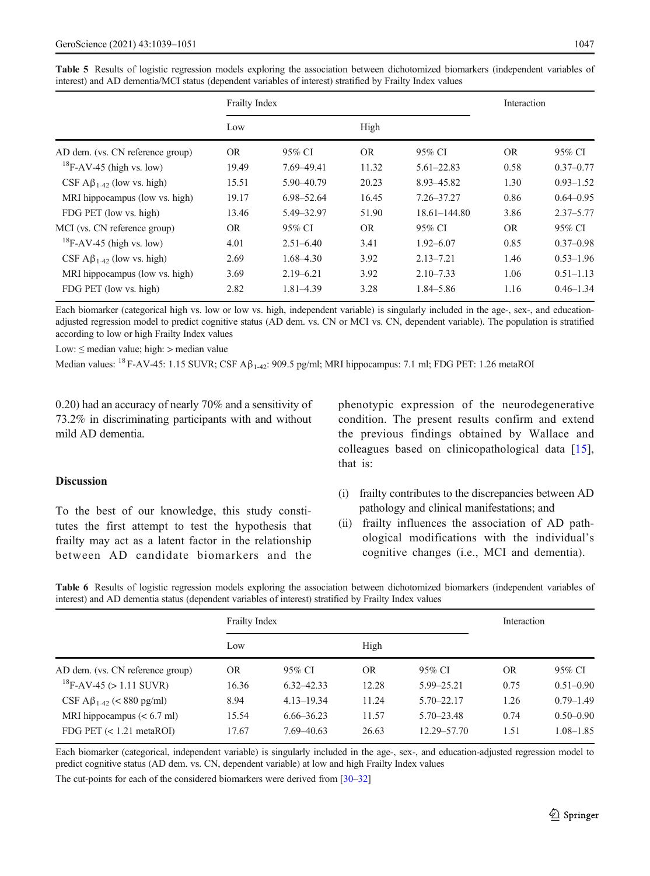<span id="page-8-0"></span>Table 5 Results of logistic regression models exploring the association between dichotomized biomarkers (independent variables of interest) and AD dementia/MCI status (dependent variables of interest) stratified by Frailty Index values

|                                    | Frailty Index |               |       |                | Interaction |               |
|------------------------------------|---------------|---------------|-------|----------------|-------------|---------------|
|                                    | Low           |               | High  |                |             |               |
| AD dem. (vs. CN reference group)   | <b>OR</b>     | 95% CI        | OR.   | 95% CI         | <b>OR</b>   | 95% CI        |
| $^{18}$ F-AV-45 (high vs. low)     | 19.49         | 7.69–49.41    | 11.32 | $5.61 - 22.83$ | 0.58        | $0.37 - 0.77$ |
| CSF $A\beta_{1-42}$ (low vs. high) | 15.51         | 5.90 - 40.79  | 20.23 | 8.93 - 45.82   | 1.30        | $0.93 - 1.52$ |
| MRI hippocampus (low vs. high)     | 19.17         | 6.98-52.64    | 16.45 | 7.26-37.27     | 0.86        | $0.64 - 0.95$ |
| FDG PET (low vs. high)             | 13.46         | 5.49 - 32.97  | 51.90 | 18.61-144.80   | 3.86        | $2.37 - 5.77$ |
| MCI (vs. CN reference group)       | <b>OR</b>     | 95% CI        | OR.   | 95% CI         | OR.         | 95% CI        |
| $^{18}$ F-AV-45 (high vs. low)     | 4.01          | $2.51 - 6.40$ | 3.41  | $1.92 - 6.07$  | 0.85        | $0.37 - 0.98$ |
| CSF $A\beta_{1-42}$ (low vs. high) | 2.69          | $1.68 - 4.30$ | 3.92  | $2.13 - 7.21$  | 1.46        | $0.53 - 1.96$ |
| MRI hippocampus (low vs. high)     | 3.69          | $2.19 - 6.21$ | 3.92  | $2.10 - 7.33$  | 1.06        | $0.51 - 1.13$ |
| FDG PET (low vs. high)             | 2.82          | 1.81-4.39     | 3.28  | 1.84 - 5.86    | 1.16        | $0.46 - 1.34$ |

Each biomarker (categorical high vs. low or low vs. high, independent variable) is singularly included in the age-, sex-, and educationadjusted regression model to predict cognitive status (AD dem. vs. CN or MCI vs. CN, dependent variable). The population is stratified according to low or high Frailty Index values

Low:  $\leq$  median value; high:  $>$  median value

Median values: <sup>18</sup> F-AV-45: 1.15 SUVR; CSF Aβ<sub>1-42</sub>: 909.5 pg/ml; MRI hippocampus: 7.1 ml; FDG PET: 1.26 metaROI

0.20) had an accuracy of nearly 70% and a sensitivity of 73.2% in discriminating participants with and without mild AD dementia.

## **Discussion**

To the best of our knowledge, this study constitutes the first attempt to test the hypothesis that frailty may act as a latent factor in the relationship between AD candidate biomarkers and the phenotypic expression of the neurodegenerative condition. The present results confirm and extend the previous findings obtained by Wallace and colleagues based on clinicopathological data [\[15](#page-11-0)], that is:

- (i) frailty contributes to the discrepancies between AD pathology and clinical manifestations; and
- (ii) frailty influences the association of AD pathological modifications with the individual's cognitive changes (i.e., MCI and dementia).

Table 6 Results of logistic regression models exploring the association between dichotomized biomarkers (independent variables of interest) and AD dementia status (dependent variables of interest) stratified by Frailty Index values

|                                   | Frailty Index |                |       | Interaction    |           |               |
|-----------------------------------|---------------|----------------|-------|----------------|-----------|---------------|
|                                   | Low           |                | High  |                |           |               |
| AD dem. (vs. CN reference group)  | <b>OR</b>     | 95% CI         | OR.   | 95% CI         | <b>OR</b> | 95% CI        |
| $^{18}$ F-AV-45 (> 1.11 SUVR)     | 16.36         | $6.32 - 42.33$ | 12.28 | 5.99 - 25.21   | 0.75      | $0.51 - 0.90$ |
| CSF $A\beta_{1-42}$ (< 880 pg/ml) | 8.94          | $4.13 - 19.34$ | 11.24 | $5.70 - 22.17$ | 1.26      | $0.79 - 1.49$ |
| MRI hippocampus $(< 6.7$ ml)      | 15.54         | $6.66 - 36.23$ | 11.57 | $5.70 - 23.48$ | 0.74      | $0.50 - 0.90$ |
| FDG PET $(< 1.21$ metaROI)        | 17.67         | 7.69 - 40.63   | 26.63 | 12.29 - 57.70  | 1.51      | $1.08 - 1.85$ |

Each biomarker (categorical, independent variable) is singularly included in the age-, sex-, and education-adjusted regression model to predict cognitive status (AD dem. vs. CN, dependent variable) at low and high Frailty Index values

The cut-points for each of the considered biomarkers were derived from [\[30](#page-12-0)–[32\]](#page-12-0)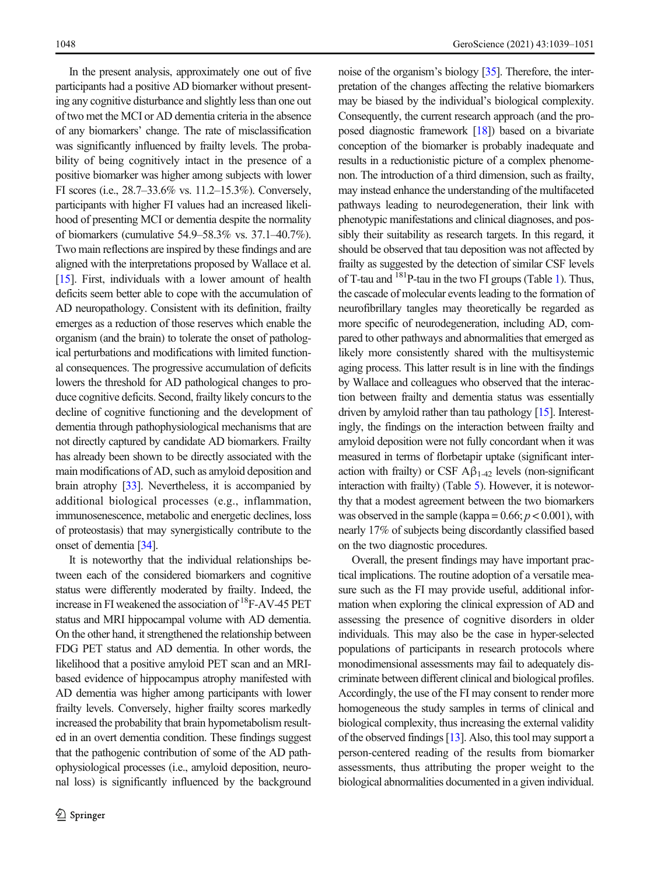In the present analysis, approximately one out of five participants had a positive AD biomarker without presenting any cognitive disturbance and slightly less than one out of two met the MCI or AD dementia criteria in the absence of any biomarkers' change. The rate of misclassification was significantly influenced by frailty levels. The probability of being cognitively intact in the presence of a positive biomarker was higher among subjects with lower FI scores (i.e., 28.7–33.6% vs. 11.2–15.3%). Conversely, participants with higher FI values had an increased likelihood of presenting MCI or dementia despite the normality of biomarkers (cumulative 54.9–58.3% vs. 37.1–40.7%). Two main reflections are inspired by these findings and are aligned with the interpretations proposed by Wallace et al. [[15](#page-11-0)]. First, individuals with a lower amount of health deficits seem better able to cope with the accumulation of AD neuropathology. Consistent with its definition, frailty emerges as a reduction of those reserves which enable the organism (and the brain) to tolerate the onset of pathological perturbations and modifications with limited functional consequences. The progressive accumulation of deficits lowers the threshold for AD pathological changes to produce cognitive deficits. Second, frailty likely concurs to the decline of cognitive functioning and the development of dementia through pathophysiological mechanisms that are not directly captured by candidate AD biomarkers. Frailty has already been shown to be directly associated with the main modifications of AD, such as amyloid deposition and brain atrophy [\[33](#page-12-0)]. Nevertheless, it is accompanied by additional biological processes (e.g., inflammation, immunosenescence, metabolic and energetic declines, loss of proteostasis) that may synergistically contribute to the onset of dementia [[34\]](#page-12-0).

It is noteworthy that the individual relationships between each of the considered biomarkers and cognitive status were differently moderated by frailty. Indeed, the increase in FI weakened the association of  ${}^{18}$ F-AV-45 PET status and MRI hippocampal volume with AD dementia. On the other hand, it strengthened the relationship between FDG PET status and AD dementia. In other words, the likelihood that a positive amyloid PET scan and an MRIbased evidence of hippocampus atrophy manifested with AD dementia was higher among participants with lower frailty levels. Conversely, higher frailty scores markedly increased the probability that brain hypometabolism resulted in an overt dementia condition. These findings suggest that the pathogenic contribution of some of the AD pathophysiological processes (i.e., amyloid deposition, neuronal loss) is significantly influenced by the background noise of the organism's biology [[35\]](#page-12-0). Therefore, the interpretation of the changes affecting the relative biomarkers may be biased by the individual's biological complexity. Consequently, the current research approach (and the proposed diagnostic framework [\[18\]](#page-12-0)) based on a bivariate conception of the biomarker is probably inadequate and results in a reductionistic picture of a complex phenomenon. The introduction of a third dimension, such as frailty, may instead enhance the understanding of the multifaceted pathways leading to neurodegeneration, their link with phenotypic manifestations and clinical diagnoses, and possibly their suitability as research targets. In this regard, it should be observed that tau deposition was not affected by frailty as suggested by the detection of similar CSF levels of T-tau and  $^{181}P$ -tau in the two FI groups (Table [1\)](#page-4-0). Thus, the cascade of molecular events leading to the formation of neurofibrillary tangles may theoretically be regarded as more specific of neurodegeneration, including AD, compared to other pathways and abnormalities that emerged as likely more consistently shared with the multisystemic aging process. This latter result is in line with the findings by Wallace and colleagues who observed that the interaction between frailty and dementia status was essentially driven by amyloid rather than tau pathology [\[15\]](#page-11-0). Interestingly, the findings on the interaction between frailty and amyloid deposition were not fully concordant when it was measured in terms of florbetapir uptake (significant interaction with frailty) or CSF  $A\beta_{1-42}$  levels (non-significant interaction with frailty) (Table [5\)](#page-8-0). However, it is noteworthy that a modest agreement between the two biomarkers was observed in the sample (kappa =  $0.66$ ;  $p < 0.001$ ), with nearly 17% of subjects being discordantly classified based on the two diagnostic procedures.

Overall, the present findings may have important practical implications. The routine adoption of a versatile measure such as the FI may provide useful, additional information when exploring the clinical expression of AD and assessing the presence of cognitive disorders in older individuals. This may also be the case in hyper-selected populations of participants in research protocols where monodimensional assessments may fail to adequately discriminate between different clinical and biological profiles. Accordingly, the use of the FI may consent to render more homogeneous the study samples in terms of clinical and biological complexity, thus increasing the external validity of the observed findings [\[13\]](#page-11-0). Also, this tool may support a person-centered reading of the results from biomarker assessments, thus attributing the proper weight to the biological abnormalities documented in a given individual.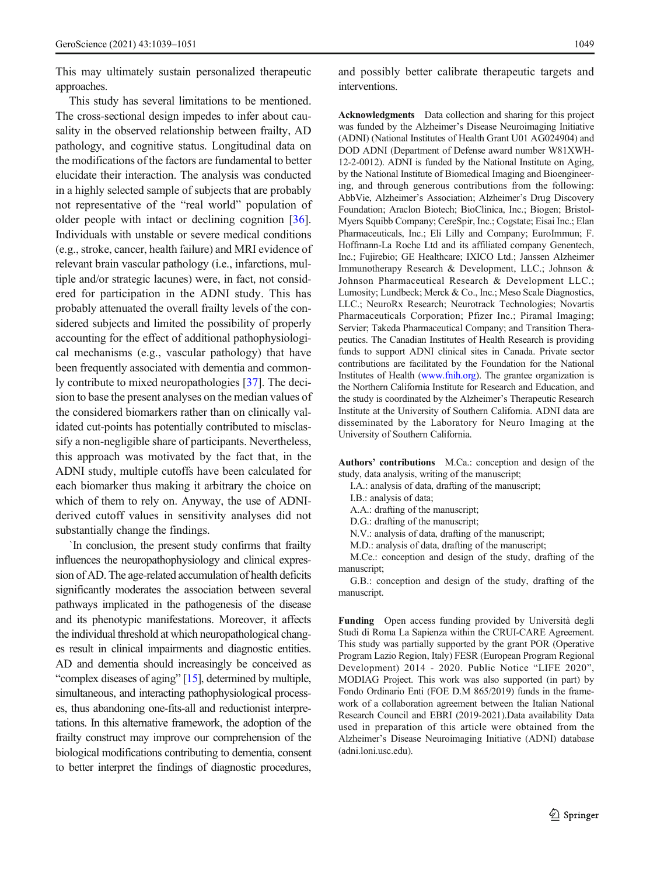This may ultimately sustain personalized therapeutic approaches.

This study has several limitations to be mentioned. The cross-sectional design impedes to infer about causality in the observed relationship between frailty, AD pathology, and cognitive status. Longitudinal data on the modifications of the factors are fundamental to better elucidate their interaction. The analysis was conducted in a highly selected sample of subjects that are probably not representative of the "real world" population of older people with intact or declining cognition [[36\]](#page-12-0). Individuals with unstable or severe medical conditions (e.g., stroke, cancer, health failure) and MRI evidence of relevant brain vascular pathology (i.e., infarctions, multiple and/or strategic lacunes) were, in fact, not considered for participation in the ADNI study. This has probably attenuated the overall frailty levels of the considered subjects and limited the possibility of properly accounting for the effect of additional pathophysiological mechanisms (e.g., vascular pathology) that have been frequently associated with dementia and commonly contribute to mixed neuropathologies [\[37](#page-12-0)]. The decision to base the present analyses on the median values of the considered biomarkers rather than on clinically validated cut-points has potentially contributed to misclassify a non-negligible share of participants. Nevertheless, this approach was motivated by the fact that, in the ADNI study, multiple cutoffs have been calculated for each biomarker thus making it arbitrary the choice on which of them to rely on. Anyway, the use of ADNIderived cutoff values in sensitivity analyses did not substantially change the findings.

`In conclusion, the present study confirms that frailty influences the neuropathophysiology and clinical expression of AD. The age-related accumulation of health deficits significantly moderates the association between several pathways implicated in the pathogenesis of the disease and its phenotypic manifestations. Moreover, it affects the individual threshold at which neuropathological changes result in clinical impairments and diagnostic entities. AD and dementia should increasingly be conceived as "complex diseases of aging" [\[15](#page-11-0)], determined by multiple, simultaneous, and interacting pathophysiological processes, thus abandoning one-fits-all and reductionist interpretations. In this alternative framework, the adoption of the frailty construct may improve our comprehension of the biological modifications contributing to dementia, consent to better interpret the findings of diagnostic procedures,

and possibly better calibrate therapeutic targets and interventions.

Acknowledgments Data collection and sharing for this project was funded by the Alzheimer's Disease Neuroimaging Initiative (ADNI) (National Institutes of Health Grant U01 AG024904) and DOD ADNI (Department of Defense award number W81XWH-12-2-0012). ADNI is funded by the National Institute on Aging, by the National Institute of Biomedical Imaging and Bioengineering, and through generous contributions from the following: AbbVie, Alzheimer's Association; Alzheimer's Drug Discovery Foundation; Araclon Biotech; BioClinica, Inc.; Biogen; Bristol-Myers Squibb Company; CereSpir, Inc.; Cogstate; Eisai Inc.; Elan Pharmaceuticals, Inc.; Eli Lilly and Company; EuroImmun; F. Hoffmann-La Roche Ltd and its affiliated company Genentech, Inc.; Fujirebio; GE Healthcare; IXICO Ltd.; Janssen Alzheimer Immunotherapy Research & Development, LLC.; Johnson & Johnson Pharmaceutical Research & Development LLC.; Lumosity; Lundbeck; Merck & Co., Inc.; Meso Scale Diagnostics, LLC.; NeuroRx Research; Neurotrack Technologies; Novartis Pharmaceuticals Corporation; Pfizer Inc.; Piramal Imaging; Servier; Takeda Pharmaceutical Company; and Transition Therapeutics. The Canadian Institutes of Health Research is providing funds to support ADNI clinical sites in Canada. Private sector contributions are facilitated by the Foundation for the National Institutes of Health ([www.fnih.org\)](http://www.fnih.org). The grantee organization is the Northern California Institute for Research and Education, and the study is coordinated by the Alzheimer's Therapeutic Research Institute at the University of Southern California. ADNI data are disseminated by the Laboratory for Neuro Imaging at the University of Southern California.

Authors' contributions M.Ca.: conception and design of the study, data analysis, writing of the manuscript;

I.A.: analysis of data, drafting of the manuscript;

I.B.: analysis of data;

A.A.: drafting of the manuscript;

D.G.: drafting of the manuscript;

N.V.: analysis of data, drafting of the manuscript;

M.D.: analysis of data, drafting of the manuscript;

M.Ce.: conception and design of the study, drafting of the manuscript;

G.B.: conception and design of the study, drafting of the manuscript.

Funding Open access funding provided by Università degli Studi di Roma La Sapienza within the CRUI-CARE Agreement. This study was partially supported by the grant POR (Operative Program Lazio Region, Italy) FESR (European Program Regional Development) 2014 - 2020. Public Notice "LIFE 2020", MODIAG Project. This work was also supported (in part) by Fondo Ordinario Enti (FOE D.M 865/2019) funds in the framework of a collaboration agreement between the Italian National Research Council and EBRI (2019-2021).Data availability Data used in preparation of this article were obtained from the Alzheimer's Disease Neuroimaging Initiative (ADNI) database (adni.loni.usc.edu).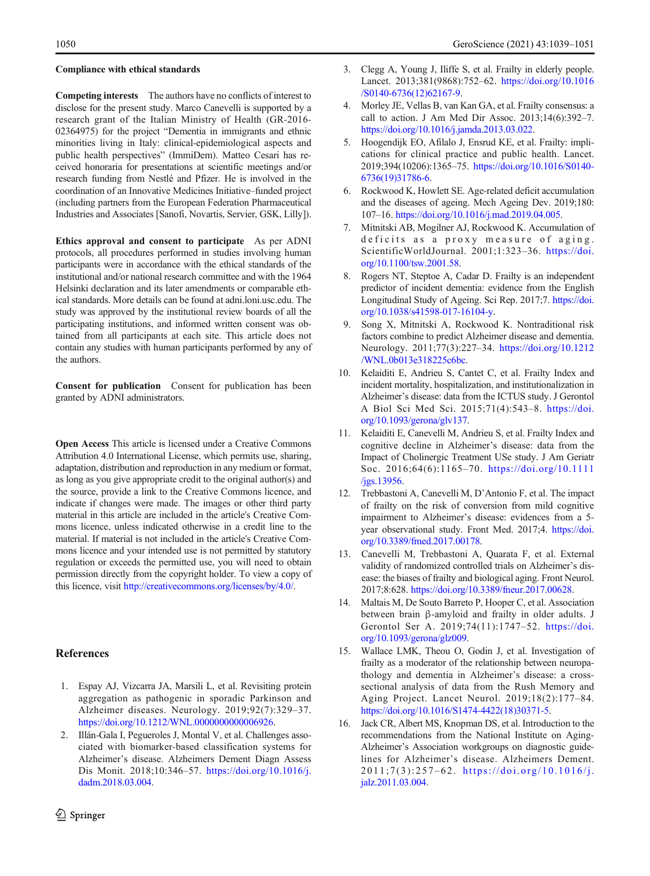#### <span id="page-11-0"></span>Compliance with ethical standards

Competing interests The authors have no conflicts of interest to disclose for the present study. Marco Canevelli is supported by a research grant of the Italian Ministry of Health (GR-2016- 02364975) for the project "Dementia in immigrants and ethnic minorities living in Italy: clinical-epidemiological aspects and public health perspectives" (ImmiDem). Matteo Cesari has received honoraria for presentations at scientific meetings and/or research funding from Nestlé and Pfizer. He is involved in the coordination of an Innovative Medicines Initiative–funded project (including partners from the European Federation Pharmaceutical Industries and Associates [Sanofi, Novartis, Servier, GSK, Lilly]).

Ethics approval and consent to participate As per ADNI protocols, all procedures performed in studies involving human participants were in accordance with the ethical standards of the institutional and/or national research committee and with the 1964 Helsinki declaration and its later amendments or comparable ethical standards. More details can be found at adni.loni.usc.edu. The study was approved by the institutional review boards of all the participating institutions, and informed written consent was obtained from all participants at each site. This article does not contain any studies with human participants performed by any of the authors.

Consent for publication Consent for publication has been granted by ADNI administrators.

Open Access This article is licensed under a Creative Commons Attribution 4.0 International License, which permits use, sharing, adaptation, distribution and reproduction in any medium or format, as long as you give appropriate credit to the original author(s) and the source, provide a link to the Creative Commons licence, and indicate if changes were made. The images or other third party material in this article are included in the article's Creative Commons licence, unless indicated otherwise in a credit line to the material. If material is not included in the article's Creative Commons licence and your intended use is not permitted by statutory regulation or exceeds the permitted use, you will need to obtain permission directly from the copyright holder. To view a copy of this licence, visit [http://creativecommons.org/licenses/by/4.0/.](https://doi.org/)

## References

- 1. Espay AJ, Vizcarra JA, Marsili L, et al. Revisiting protein aggregation as pathogenic in sporadic Parkinson and Alzheimer diseases. Neurology. 2019;92(7):329–37. <https://doi.org/10.1212/WNL.0000000000006926>.
- 2. Illán-Gala I, Pegueroles J, Montal V, et al. Challenges associated with biomarker-based classification systems for Alzheimer's disease. Alzheimers Dement Diagn Assess Dis Monit. 2018;10:346–57. [https://doi.org/10.1016/j.](https://doi.org/10.1016/j.dadm.2018.03.004) [dadm.2018.03.004.](https://doi.org/10.1016/j.dadm.2018.03.004)
- 3. Clegg A, Young J, Iliffe S, et al. Frailty in elderly people. Lancet. 2013;381(9868):752–62. [https://doi.org/10.1016](https://doi.org/10.1016/S0140-6736(12)62167-9) [/S0140-6736\(12\)62167-9.](https://doi.org/10.1016/S0140-6736(12)62167-9)
- 4. Morley JE, Vellas B, van Kan GA, et al. Frailty consensus: a call to action. J Am Med Dir Assoc. 2013;14(6):392–7. [https://doi.org/10.1016/j.jamda.2013.03.022.](https://doi.org/10.1016/j.jamda.2013.03.022)
- 5. Hoogendijk EO, Afilalo J, Ensrud KE, et al. Frailty: implications for clinical practice and public health. Lancet. 2019;394(10206):1365–75. [https://doi.org/10.1016/S0140-](https://doi.org/10.1016/S0140-6736(19)31786-6) [6736\(19\)31786-6.](https://doi.org/10.1016/S0140-6736(19)31786-6)
- 6. Rockwood K, Howlett SE. Age-related deficit accumulation and the diseases of ageing. Mech Ageing Dev. 2019;180: 107–16. [https://doi.org/10.1016/j.mad.2019.04.005.](https://doi.org/10.1016/j.mad.2019.04.005)
- 7. Mitnitski AB, Mogilner AJ, Rockwood K. Accumulation of deficits as a proxy measure of aging. ScientificWorldJournal. 2001;1:323–36. [https://doi.](https://doi.org/10.1100/tsw.2001.58) [org/10.1100/tsw.2001.58](https://doi.org/10.1100/tsw.2001.58).
- 8. Rogers NT, Steptoe A, Cadar D. Frailty is an independent predictor of incident dementia: evidence from the English Longitudinal Study of Ageing. Sci Rep. 2017;7. [https://doi.](https://doi.org/10.1038/s41598-017-16104-y) [org/10.1038/s41598-017-16104-y](https://doi.org/10.1038/s41598-017-16104-y).
- 9. Song X, Mitnitski A, Rockwood K. Nontraditional risk factors combine to predict Alzheimer disease and dementia. Neurology. 2011;77(3):227–34. [https://doi.org/10.1212](https://doi.org/10.1212/WNL.0b013e318225c6bc) [/WNL.0b013e318225c6bc.](https://doi.org/10.1212/WNL.0b013e318225c6bc)
- 10. Kelaiditi E, Andrieu S, Cantet C, et al. Frailty Index and incident mortality, hospitalization, and institutionalization in Alzheimer's disease: data from the ICTUS study. J Gerontol A Biol Sci Med Sci. 2015;71(4):543–8. [https://doi.](https://doi.org/10.1093/gerona/glv137) [org/10.1093/gerona/glv137](https://doi.org/10.1093/gerona/glv137).
- 11. Kelaiditi E, Canevelli M, Andrieu S, et al. Frailty Index and cognitive decline in Alzheimer's disease: data from the Impact of Cholinergic Treatment USe study. J Am Geriatr Soc. 2016;64(6):1165–70. [https://doi.org/10.1111](https://doi.org/10.1111/jgs.13956) [/jgs.13956](https://doi.org/10.1111/jgs.13956).
- 12. Trebbastoni A, Canevelli M, D'Antonio F, et al. The impact of frailty on the risk of conversion from mild cognitive impairment to Alzheimer's disease: evidences from a 5 year observational study. Front Med. 2017;4. [https://doi.](https://doi.org/10.3389/fmed.2017.00178) [org/10.3389/fmed.2017.00178](https://doi.org/10.3389/fmed.2017.00178).
- 13. Canevelli M, Trebbastoni A, Quarata F, et al. External validity of randomized controlled trials on Alzheimer's disease: the biases of frailty and biological aging. Front Neurol. 2017;8:628. <https://doi.org/10.3389/fneur.2017.00628>.
- 14. Maltais M, De Souto Barreto P, Hooper C, et al. Association between brain β-amyloid and frailty in older adults. J Gerontol Ser A. 2019;74(11):1747–52. [https://doi.](https://doi.org/10.1093/gerona/glz009) [org/10.1093/gerona/glz009.](https://doi.org/10.1093/gerona/glz009)
- 15. Wallace LMK, Theou O, Godin J, et al. Investigation of frailty as a moderator of the relationship between neuropathology and dementia in Alzheimer's disease: a crosssectional analysis of data from the Rush Memory and Aging Project. Lancet Neurol. 2019;18(2):177–84. [https://doi.org/10.1016/S1474-4422\(18\)30371-5](https://doi.org/10.1016/S1474-4422(18)30371-5).
- 16. Jack CR, Albert MS, Knopman DS, et al. Introduction to the recommendations from the National Institute on Aging-Alzheimer's Association workgroups on diagnostic guidelines for Alzheimer's disease. Alzheimers Dement. 2011;7(3):257 –62. [https://doi.org/10.1016/j.](https://doi.org/10.1016/j.jalz.2011.03.004) [jalz.2011.03.004.](https://doi.org/10.1016/j.jalz.2011.03.004)